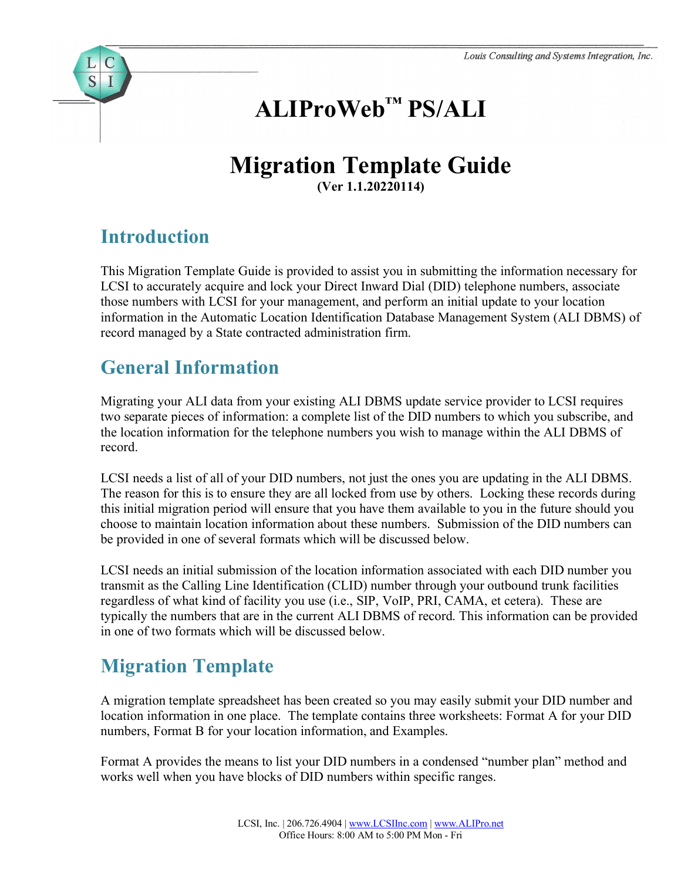# **ALIProWeb™ PS/ALI**

#### **Migration Template Guide (Ver 1.1.20220114)**

## **Introduction**

S

This Migration Template Guide is provided to assist you in submitting the information necessary for LCSI to accurately acquire and lock your Direct Inward Dial (DID) telephone numbers, associate those numbers with LCSI for your management, and perform an initial update to your location information in the Automatic Location Identification Database Management System (ALI DBMS) of record managed by a State contracted administration firm.

## **General Information**

Migrating your ALI data from your existing ALI DBMS update service provider to LCSI requires two separate pieces of information: a complete list of the DID numbers to which you subscribe, and the location information for the telephone numbers you wish to manage within the ALI DBMS of record.

LCSI needs a list of all of your DID numbers, not just the ones you are updating in the ALI DBMS. The reason for this is to ensure they are all locked from use by others. Locking these records during this initial migration period will ensure that you have them available to you in the future should you choose to maintain location information about these numbers. Submission of the DID numbers can be provided in one of several formats which will be discussed below.

LCSI needs an initial submission of the location information associated with each DID number you transmit as the Calling Line Identification (CLID) number through your outbound trunk facilities regardless of what kind of facility you use (i.e., SIP, VoIP, PRI, CAMA, et cetera). These are typically the numbers that are in the current ALI DBMS of record. This information can be provided in one of two formats which will be discussed below.

## **Migration Template**

A migration template spreadsheet has been created so you may easily submit your DID number and location information in one place. The template contains three worksheets: Format A for your DID numbers, Format B for your location information, and Examples.

Format A provides the means to list your DID numbers in a condensed "number plan" method and works well when you have blocks of DID numbers within specific ranges.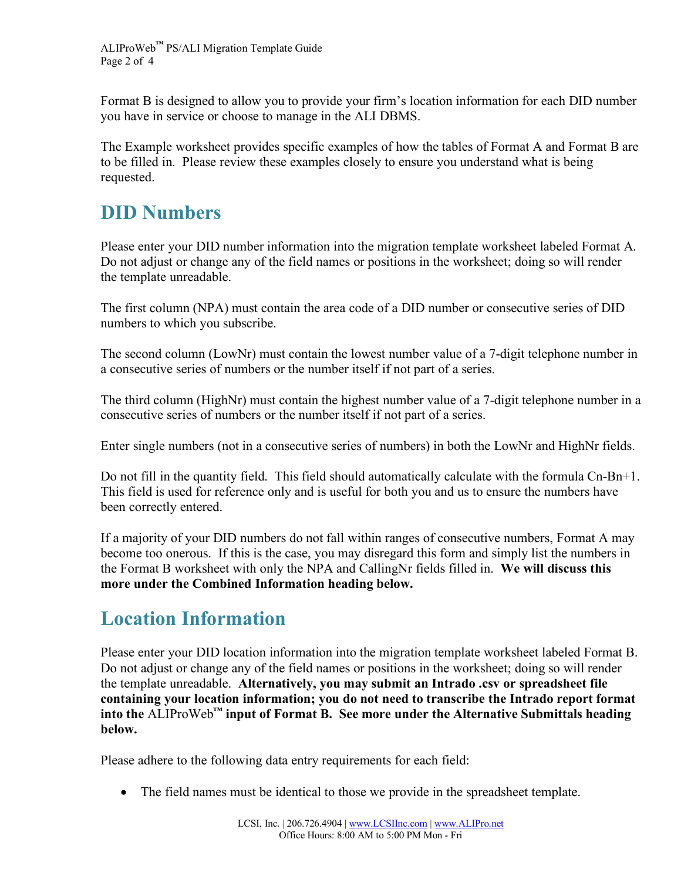Format B is designed to allow you to provide your firm's location information for each DID number you have in service or choose to manage in the ALI DBMS.

The Example worksheet provides specific examples of how the tables of Format A and Format B are to be filled in. Please review these examples closely to ensure you understand what is being requested.

#### **DID Numbers**

Please enter your DID number information into the migration template worksheet labeled Format A. Do not adjust or change any of the field names or positions in the worksheet; doing so will render the template unreadable.

The first column (NPA) must contain the area code of a DID number or consecutive series of DID numbers to which you subscribe.

The second column (LowNr) must contain the lowest number value of a 7-digit telephone number in a consecutive series of numbers or the number itself if not part of a series.

The third column (HighNr) must contain the highest number value of a 7-digit telephone number in a consecutive series of numbers or the number itself if not part of a series.

Enter single numbers (not in a consecutive series of numbers) in both the LowNr and HighNr fields.

Do not fill in the quantity field. This field should automatically calculate with the formula Cn-Bn+1. This field is used for reference only and is useful for both you and us to ensure the numbers have been correctly entered.

If a majority of your DID numbers do not fall within ranges of consecutive numbers, Format A may become too onerous. If this is the case, you may disregard this form and simply list the numbers in the Format B worksheet with only the NPA and CallingNr fields filled in. **We will discuss this more under the Combined Information heading below.**

## **Location Information**

Please enter your DID location information into the migration template worksheet labeled Format B. Do not adjust or change any of the field names or positions in the worksheet; doing so will render the template unreadable. **Alternatively, you may submit an Intrado .csv or spreadsheet file containing your location information; you do not need to transcribe the Intrado report format into the** ALIProWeb**™ input of Format B. See more under the Alternative Submittals heading below.**

Please adhere to the following data entry requirements for each field:

• The field names must be identical to those we provide in the spreadsheet template.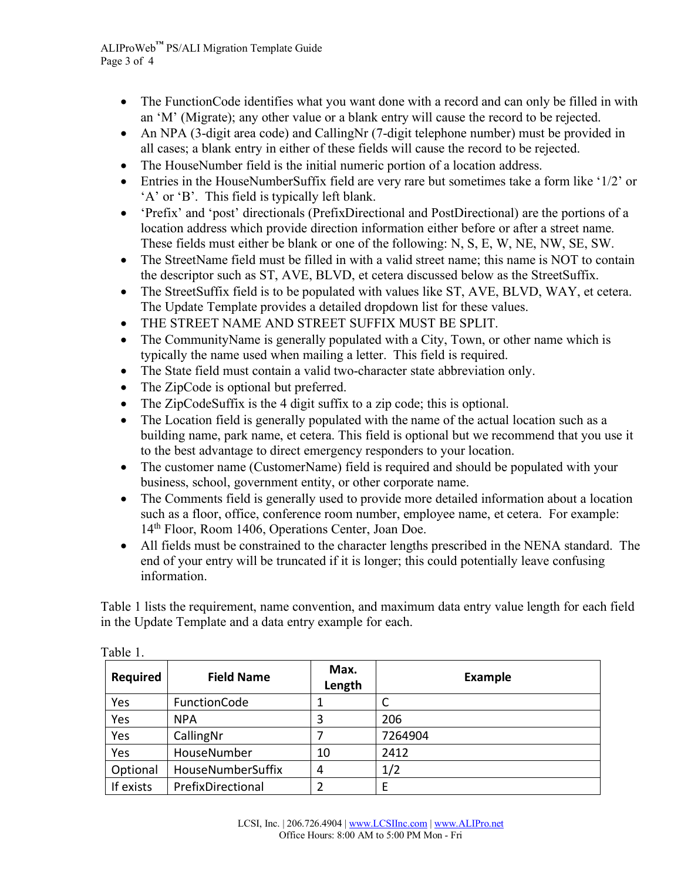- The Function Code identifies what you want done with a record and can only be filled in with an 'M' (Migrate); any other value or a blank entry will cause the record to be rejected.
- An NPA (3-digit area code) and CallingNr (7-digit telephone number) must be provided in all cases; a blank entry in either of these fields will cause the record to be rejected.
- The HouseNumber field is the initial numeric portion of a location address.
- Entries in the HouseNumberSuffix field are very rare but sometimes take a form like '1/2' or 'A' or 'B'. This field is typically left blank.
- 'Prefix' and 'post' directionals (PrefixDirectional and PostDirectional) are the portions of a location address which provide direction information either before or after a street name. These fields must either be blank or one of the following: N, S, E, W, NE, NW, SE, SW.
- The StreetName field must be filled in with a valid street name; this name is NOT to contain the descriptor such as ST, AVE, BLVD, et cetera discussed below as the StreetSuffix.
- The StreetSuffix field is to be populated with values like ST, AVE, BLVD, WAY, et cetera. The Update Template provides a detailed dropdown list for these values.
- THE STREET NAME AND STREET SUFFIX MUST BE SPLIT.
- The CommunityName is generally populated with a City, Town, or other name which is typically the name used when mailing a letter. This field is required.
- The State field must contain a valid two-character state abbreviation only.
- The ZipCode is optional but preferred.
- The ZipCodeSuffix is the 4 digit suffix to a zip code; this is optional.
- The Location field is generally populated with the name of the actual location such as a building name, park name, et cetera. This field is optional but we recommend that you use it to the best advantage to direct emergency responders to your location.
- The customer name (CustomerName) field is required and should be populated with your business, school, government entity, or other corporate name.
- The Comments field is generally used to provide more detailed information about a location such as a floor, office, conference room number, employee name, et cetera. For example: 14th Floor, Room 1406, Operations Center, Joan Doe.
- All fields must be constrained to the character lengths prescribed in the NENA standard. The end of your entry will be truncated if it is longer; this could potentially leave confusing information.

Table 1 lists the requirement, name convention, and maximum data entry value length for each field in the Update Template and a data entry example for each.

| <b>Required</b> | <b>Field Name</b> | Max.<br>Length | <b>Example</b> |
|-----------------|-------------------|----------------|----------------|
| Yes             | FunctionCode      |                | C              |
| Yes             | <b>NPA</b>        | 3              | 206            |
| Yes             | CallingNr         |                | 7264904        |
| Yes             | HouseNumber       | 10             | 2412           |
| Optional        | HouseNumberSuffix | 4              | 1/2            |
| If exists       | PrefixDirectional | 2              | Ε              |

Table 1.